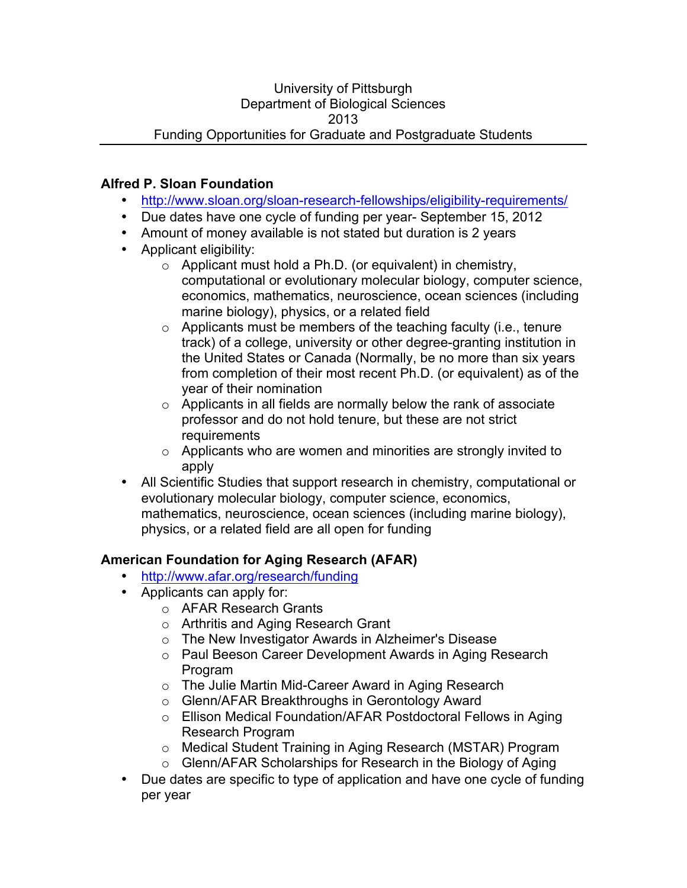#### University of Pittsburgh Department of Biological Sciences 2013 Funding Opportunities for Graduate and Postgraduate Students

### **Alfred P. Sloan Foundation**

- <http://www.sloan.org/sloan-research-fellowships/eligibility-requirements/>
- Due dates have one cycle of funding per year- September 15, 2012
- Amount of money available is not stated but duration is 2 years
- Applicant eligibility:
	- o Applicant must hold a Ph.D. (or equivalent) in chemistry, computational or evolutionary molecular biology, computer science, economics, mathematics, neuroscience, ocean sciences (including marine biology), physics, or a related field
	- $\circ$  Applicants must be members of the teaching faculty (i.e., tenure track) of a college, university or other degree-granting institution in the United States or Canada (Normally, be no more than six years from completion of their most recent Ph.D. (or equivalent) as of the year of their nomination
	- $\circ$  Applicants in all fields are normally below the rank of associate professor and do not hold tenure, but these are not strict **requirements**
	- o Applicants who are women and minorities are strongly invited to apply
- All Scientific Studies that support research in chemistry, computational or evolutionary molecular biology, computer science, economics, mathematics, neuroscience, ocean sciences (including marine biology), physics, or a related field are all open for funding

# **American Foundation for Aging Research (AFAR)**

- <http://www.afar.org/research/funding>
- Applicants can apply for:
	- o AFAR Research Grants
	- o Arthritis and Aging Research Grant
	- o The New Investigator Awards in Alzheimer's Disease
	- o Paul Beeson Career Development Awards in Aging Research Program
	- o The Julie Martin Mid-Career Award in Aging Research
	- o Glenn/AFAR Breakthroughs in Gerontology Award
	- o Ellison Medical Foundation/AFAR Postdoctoral Fellows in Aging Research Program
	- o Medical Student Training in Aging Research (MSTAR) Program
	- o Glenn/AFAR Scholarships for Research in the Biology of Aging
- Due dates are specific to type of application and have one cycle of funding per year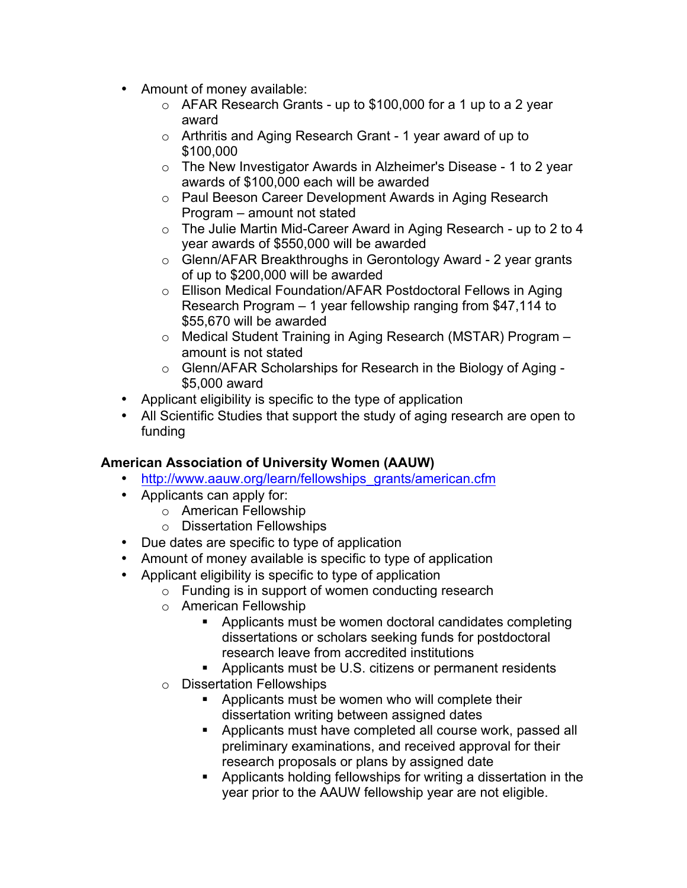- Amount of money available:
	- o AFAR Research Grants up to \$100,000 for a 1 up to a 2 year award
	- o Arthritis and Aging Research Grant 1 year award of up to \$100,000
	- o The New Investigator Awards in Alzheimer's Disease 1 to 2 year awards of \$100,000 each will be awarded
	- o Paul Beeson Career Development Awards in Aging Research Program – amount not stated
	- o The Julie Martin Mid-Career Award in Aging Research up to 2 to 4 year awards of \$550,000 will be awarded
	- o Glenn/AFAR Breakthroughs in Gerontology Award 2 year grants of up to \$200,000 will be awarded
	- o Ellison Medical Foundation/AFAR Postdoctoral Fellows in Aging Research Program – 1 year fellowship ranging from \$47,114 to \$55,670 will be awarded
	- o Medical Student Training in Aging Research (MSTAR) Program amount is not stated
	- o Glenn/AFAR Scholarships for Research in the Biology of Aging \$5,000 award
- Applicant eligibility is specific to the type of application
- All Scientific Studies that support the study of aging research are open to funding

### **American Association of University Women (AAUW)**

- [http://www.aauw.org/learn/fellowships\\_grants/american.cfm](http://www.aauw.org/learn/fellowships_grants/american.cfm)
- Applicants can apply for:
	- o American Fellowship
	- o Dissertation Fellowships
- Due dates are specific to type of application
- Amount of money available is specific to type of application
- Applicant eligibility is specific to type of application
	- o Funding is in support of women conducting research
	- o American Fellowship
		- Applicants must be women doctoral candidates completing dissertations or scholars seeking funds for postdoctoral research leave from accredited institutions
		- Applicants must be U.S. citizens or permanent residents
	- o Dissertation Fellowships
		- Applicants must be women who will complete their dissertation writing between assigned dates
		- § Applicants must have completed all course work, passed all preliminary examinations, and received approval for their research proposals or plans by assigned date
		- § Applicants holding fellowships for writing a dissertation in the year prior to the AAUW fellowship year are not eligible.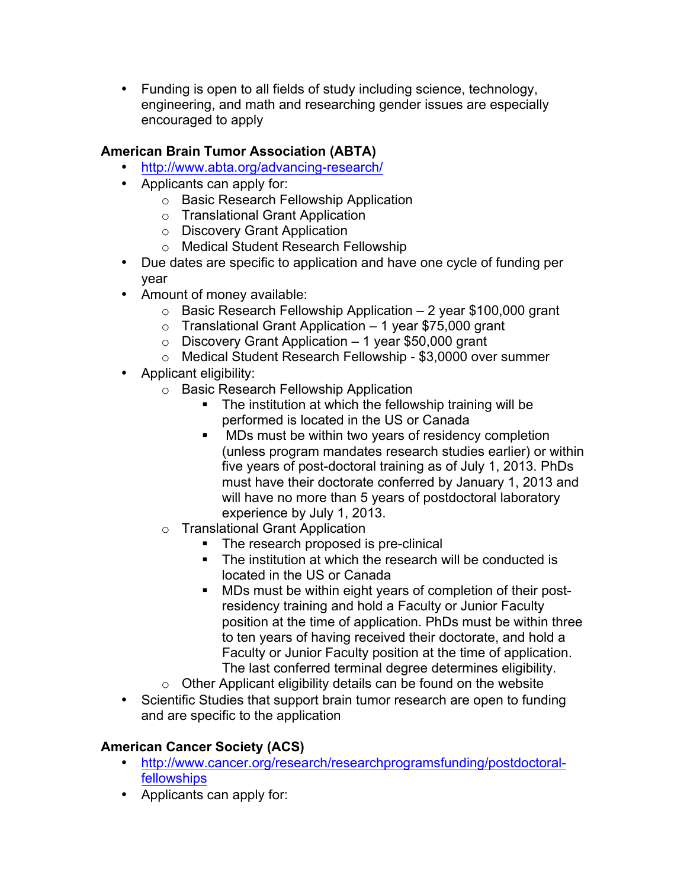Funding is open to all fields of study including science, technology, engineering, and math and researching gender issues are especially encouraged to apply

## **American Brain Tumor Association (ABTA)**

- <http://www.abta.org/advancing-research/>
- Applicants can apply for:
	- o Basic Research Fellowship Application
	- o Translational Grant Application
	- o Discovery Grant Application
	- o Medical Student Research Fellowship
- Due dates are specific to application and have one cycle of funding per year
- Amount of money available:
	- $\circ$  Basic Research Fellowship Application 2 year \$100,000 grant
	- $\circ$  Translational Grant Application 1 year \$75,000 grant
	- $\circ$  Discovery Grant Application 1 year \$50,000 grant
	- o Medical Student Research Fellowship \$3,0000 over summer
- Applicant eligibility:
	- o Basic Research Fellowship Application
		- The institution at which the fellowship training will be performed is located in the US or Canada
		- MDs must be within two years of residency completion (unless program mandates research studies earlier) or within five years of post-doctoral training as of July 1, 2013. PhDs must have their doctorate conferred by January 1, 2013 and will have no more than 5 years of postdoctoral laboratory experience by July 1, 2013.
	- o Translational Grant Application
		- The research proposed is pre-clinical
		- The institution at which the research will be conducted is located in the US or Canada
		- MDs must be within eight years of completion of their postresidency training and hold a Faculty or Junior Faculty position at the time of application. PhDs must be within three to ten years of having received their doctorate, and hold a Faculty or Junior Faculty position at the time of application. The last conferred terminal degree determines eligibility.
	- $\circ$  Other Applicant eligibility details can be found on the website
- Scientific Studies that support brain tumor research are open to funding and are specific to the application

# **American Cancer Society (ACS)**

- [http://www.cancer.org/research/researchprogramsfunding/postdoctoral](http://www.cancer.org/research/researchprogramsfunding/postdoctoral-fellowships%ED%AF%80%ED%B0%81)fellowships
- Applicants can apply for: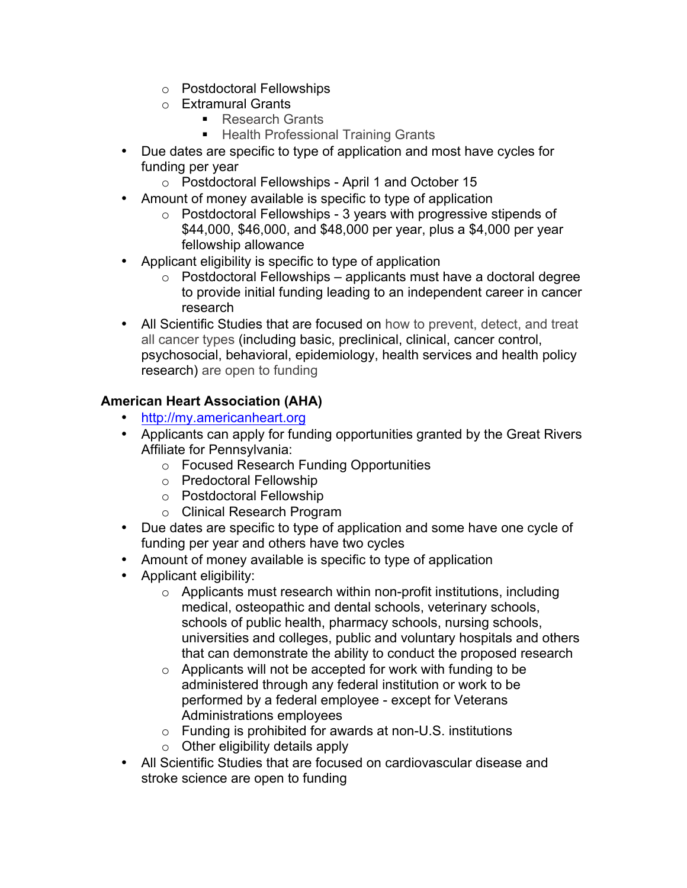- o Postdoctoral Fellowships
- o Extramural Grants
	- Research Grants
	- Health Professional Training Grants
- Due dates are specific to type of application and most have cycles for funding per year
	- o Postdoctoral Fellowships April 1 and October 15
- Amount of money available is specific to type of application
	- o Postdoctoral Fellowships 3 years with progressive stipends of \$44,000, \$46,000, and \$48,000 per year, plus a \$4,000 per year fellowship allowance
- Applicant eligibility is specific to type of application
	- $\circ$  Postdoctoral Fellowships applicants must have a doctoral degree to provide initial funding leading to an independent career in cancer research
- All Scientific Studies that are focused on how to prevent, detect, and treat all cancer types (including basic, preclinical, clinical, cancer control, psychosocial, behavioral, epidemiology, health services and health policy research) are open to funding

# **American Heart Association (AHA)**

- <http://my.americanheart.org>
- Applicants can apply for funding opportunities granted by the Great Rivers Affiliate for Pennsylvania:
	- o Focused Research Funding Opportunities
	- o Predoctoral Fellowship
	- o Postdoctoral Fellowship
	- o Clinical Research Program
- Due dates are specific to type of application and some have one cycle of funding per year and others have two cycles
- Amount of money available is specific to type of application
- Applicant eligibility:
	- o Applicants must research within non-profit institutions, including medical, osteopathic and dental schools, veterinary schools, schools of public health, pharmacy schools, nursing schools, universities and colleges, public and voluntary hospitals and others that can demonstrate the ability to conduct the proposed research
	- o Applicants will not be accepted for work with funding to be administered through any federal institution or work to be performed by a federal employee - except for Veterans Administrations employees
	- o Funding is prohibited for awards at non-U.S. institutions
	- $\circ$  Other eligibility details apply
- All Scientific Studies that are focused on cardiovascular disease and stroke science are open to funding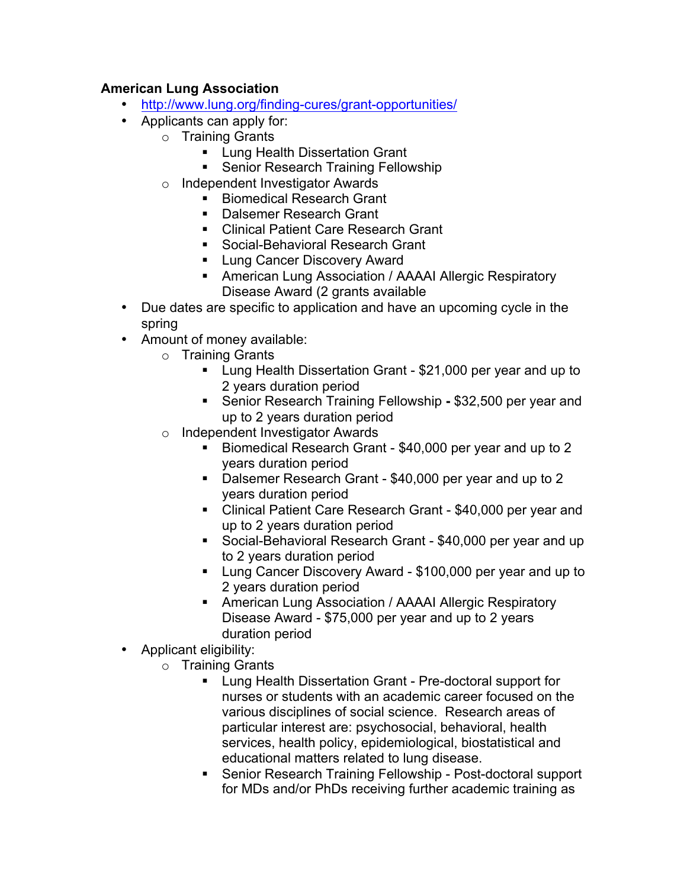### **American Lung Association**

- <http://www.lung.org/finding-cures/grant-opportunities/>
- Applicants can apply for:
	- o Training Grants
		- Lung Health Dissertation Grant
		- Senior Research Training Fellowship
	- o Independent Investigator Awards
		- Biomedical Research Grant
		- Dalsemer Research Grant
		- Clinical Patient Care Research Grant
		- Social-Behavioral Research Grant
		- Lung Cancer Discovery Award
		- American Lung Association / AAAAI Allergic Respiratory Disease Award (2 grants available
- Due dates are specific to application and have an upcoming cycle in the spring
- Amount of money available:
	- o Training Grants
		- Lung Health Dissertation Grant \$21,000 per year and up to 2 years duration period
		- § Senior Research Training Fellowship **-** \$32,500 per year and up to 2 years duration period
	- o Independent Investigator Awards
		- Biomedical Research Grant \$40,000 per year and up to 2 years duration period
		- Dalsemer Research Grant \$40,000 per year and up to 2 years duration period
		- Clinical Patient Care Research Grant \$40,000 per year and up to 2 years duration period
		- Social-Behavioral Research Grant \$40,000 per year and up to 2 years duration period
		- Lung Cancer Discovery Award \$100,000 per vear and up to 2 years duration period
		- American Lung Association / AAAAI Allergic Respiratory Disease Award - \$75,000 per year and up to 2 years duration period
- Applicant eligibility:
	- o Training Grants
		- Lung Health Dissertation Grant Pre-doctoral support for nurses or students with an academic career focused on the various disciplines of social science. Research areas of particular interest are: psychosocial, behavioral, health services, health policy, epidemiological, biostatistical and educational matters related to lung disease.
		- Senior Research Training Fellowship Post-doctoral support for MDs and/or PhDs receiving further academic training as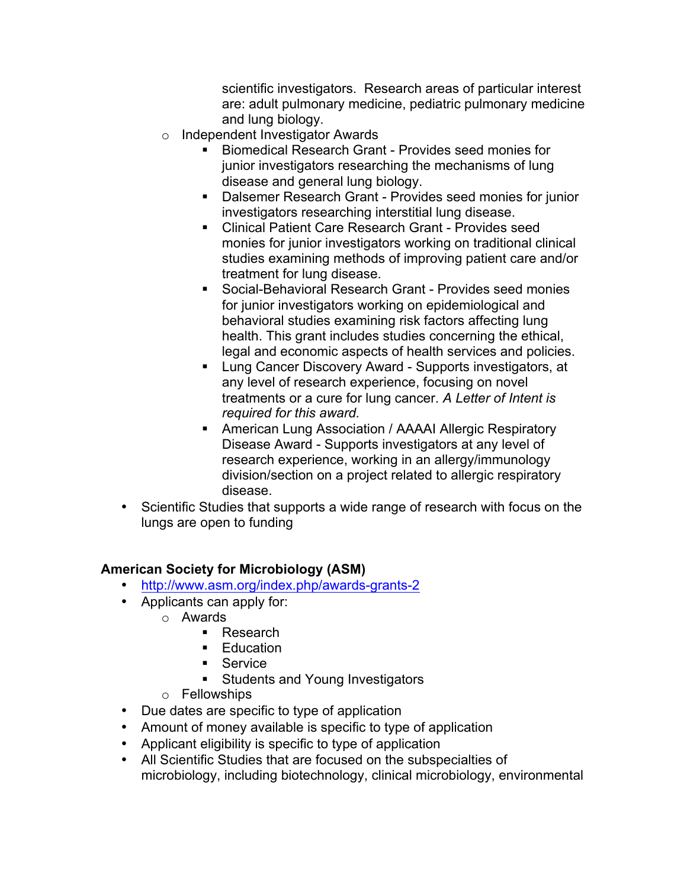scientific investigators. Research areas of particular interest are: adult pulmonary medicine, pediatric pulmonary medicine and lung biology.

- o Independent Investigator Awards
	- § Biomedical Research Grant Provides seed monies for junior investigators researching the mechanisms of lung disease and general lung biology.
	- Dalsemer Research Grant Provides seed monies for junior investigators researching interstitial lung disease.
	- Clinical Patient Care Research Grant Provides seed monies for junior investigators working on traditional clinical studies examining methods of improving patient care and/or treatment for lung disease.
	- Social-Behavioral Research Grant Provides seed monies for junior investigators working on epidemiological and behavioral studies examining risk factors affecting lung health. This grant includes studies concerning the ethical, legal and economic aspects of health services and policies.
	- Lung Cancer Discovery Award Supports investigators, at any level of research experience, focusing on novel treatments or a cure for lung cancer. *A Letter of Intent is required for this award.*
	- American Lung Association / AAAAI Allergic Respiratory Disease Award - Supports investigators at any level of research experience, working in an allergy/immunology division/section on a project related to allergic respiratory disease.
- Scientific Studies that supports a wide range of research with focus on the lungs are open to funding

### **American Society for Microbiology (ASM)**

- <http://www.asm.org/index.php/awards-grants-2>
- Applicants can apply for:
	- o Awards
		- Research
		- Education
		- Service
		- Students and Young Investigators
	- o Fellowships
- Due dates are specific to type of application
- Amount of money available is specific to type of application
- Applicant eligibility is specific to type of application
- All Scientific Studies that are focused on the subspecialties of microbiology, including biotechnology, clinical microbiology, environmental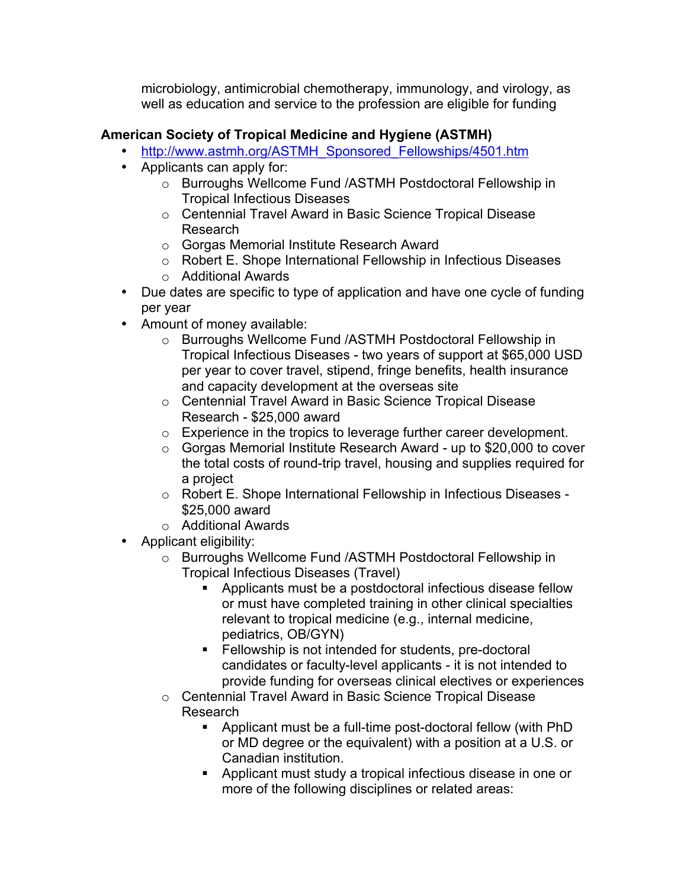microbiology, antimicrobial chemotherapy, immunology, and virology, as well as education and service to the profession are eligible for funding

## **American Society of Tropical Medicine and Hygiene (ASTMH)**

- [http://www.astmh.org/ASTMH\\_Sponsored\\_Fellowships/4501.htm](http://www.astmh.org/ASTMH_Sponsored_Fellowships/4501.htm)
- Applicants can apply for:
	- o Burroughs Wellcome Fund /ASTMH Postdoctoral Fellowship in Tropical Infectious Diseases
	- o Centennial Travel Award in Basic Science Tropical Disease Research
	- o Gorgas Memorial Institute Research Award
	- o Robert E. Shope International Fellowship in Infectious Diseases
	- o Additional Awards
- Due dates are specific to type of application and have one cycle of funding per year
- Amount of money available:
	- o Burroughs Wellcome Fund /ASTMH Postdoctoral Fellowship in Tropical Infectious Diseases - two years of support at \$65,000 USD per year to cover travel, stipend, fringe benefits, health insurance and capacity development at the overseas site
	- o Centennial Travel Award in Basic Science Tropical Disease Research - \$25,000 award
	- o Experience in the tropics to leverage further career development.
	- o Gorgas Memorial Institute Research Award up to \$20,000 to cover the total costs of round-trip travel, housing and supplies required for a project
	- o Robert E. Shope International Fellowship in Infectious Diseases \$25,000 award
	- o Additional Awards
- Applicant eligibility:
	- o Burroughs Wellcome Fund /ASTMH Postdoctoral Fellowship in Tropical Infectious Diseases (Travel)
		- § Applicants must be a postdoctoral infectious disease fellow or must have completed training in other clinical specialties relevant to tropical medicine (e.g., internal medicine, pediatrics, OB/GYN)
		- Fellowship is not intended for students, pre-doctoral candidates or faculty-level applicants - it is not intended to provide funding for overseas clinical electives or experiences
	- o Centennial Travel Award in Basic Science Tropical Disease Research
		- § Applicant must be a full-time post-doctoral fellow (with PhD or MD degree or the equivalent) with a position at a U.S. or Canadian institution.
		- § Applicant must study a tropical infectious disease in one or more of the following disciplines or related areas: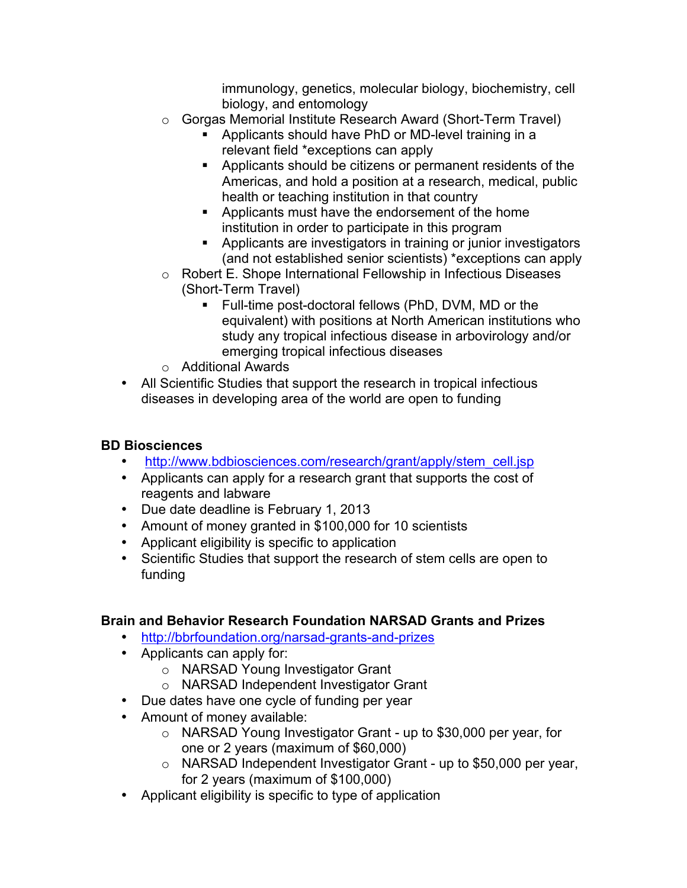immunology, genetics, molecular biology, biochemistry, cell biology, and entomology

- o Gorgas Memorial Institute Research Award (Short-Term Travel)
	- § Applicants should have PhD or MD-level training in a relevant field \*exceptions can apply
	- § Applicants should be citizens or permanent residents of the Americas, and hold a position at a research, medical, public health or teaching institution in that country
	- § Applicants must have the endorsement of the home institution in order to participate in this program
	- Applicants are investigators in training or junior investigators (and not established senior scientists) \*exceptions can apply
- o Robert E. Shope International Fellowship in Infectious Diseases (Short-Term Travel)
	- § Full-time post-doctoral fellows (PhD, DVM, MD or the equivalent) with positions at North American institutions who study any tropical infectious disease in arbovirology and/or emerging tropical infectious diseases
- o Additional Awards
- All Scientific Studies that support the research in tropical infectious diseases in developing area of the world are open to funding

#### **BD Biosciences**

- http://www.bdbiosciences.com/research/grant/apply/stem\_cell.jsp
- Applicants can apply for a research grant that supports the cost of reagents and labware
- Due date deadline is February 1, 2013
- Amount of money granted in \$100,000 for 10 scientists
- Applicant eligibility is specific to application
- Scientific Studies that support the research of stem cells are open to funding

### **Brain and Behavior Research Foundation NARSAD Grants and Prizes**

- <http://bbrfoundation.org/narsad-grants-and-prizes>
- Applicants can apply for:
	- o NARSAD Young Investigator Grant
	- o NARSAD Independent Investigator Grant
- Due dates have one cycle of funding per year
- Amount of money available:
	- o NARSAD Young Investigator Grant up to \$30,000 per year, for one or 2 years (maximum of \$60,000)
	- o NARSAD Independent Investigator Grant up to \$50,000 per year, for 2 years (maximum of \$100,000)
- Applicant eligibility is specific to type of application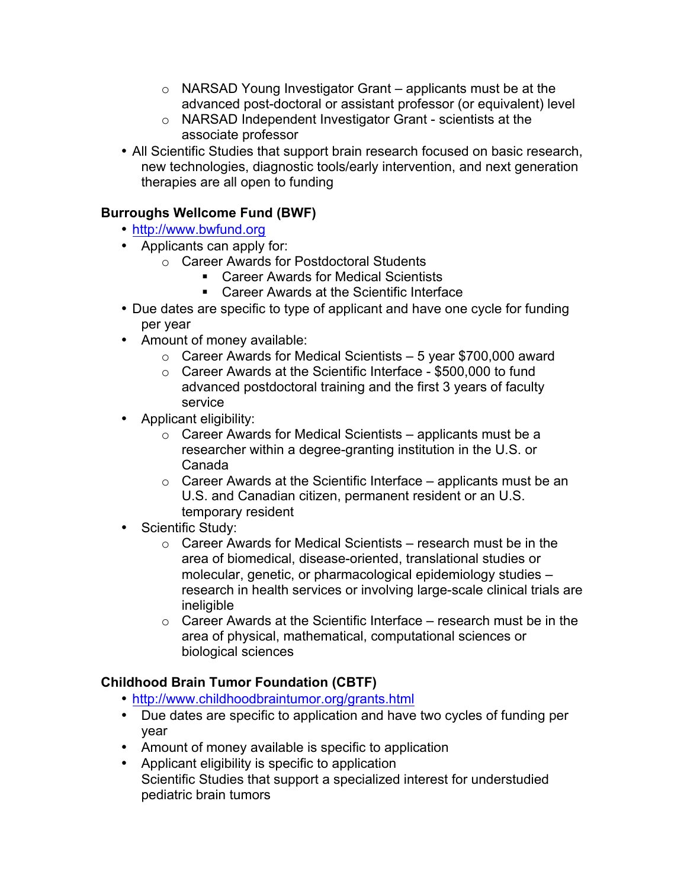- o NARSAD Young Investigator Grant applicants must be at the advanced post-doctoral or assistant professor (or equivalent) level
- o NARSAD Independent Investigator Grant scientists at the associate professor
- All Scientific Studies that support brain research focused on basic research, new technologies, diagnostic tools/early intervention, and next generation therapies are all open to funding

## **Burroughs Wellcome Fund (BWF)**

- <http://www.bwfund.org>
- Applicants can apply for:
	- o Career Awards for Postdoctoral Students
		- Career Awards for Medical Scientists
		- Career Awards at the Scientific Interface
- Due dates are specific to type of applicant and have one cycle for funding per year
- Amount of money available:
	- $\circ$  Career Awards for Medical Scientists 5 year \$700,000 award
	- o Career Awards at the Scientific Interface \$500,000 to fund advanced postdoctoral training and the first 3 years of faculty service
- Applicant eligibility:
	- $\circ$  Career Awards for Medical Scientists applicants must be a researcher within a degree-granting institution in the U.S. or Canada
	- $\circ$  Career Awards at the Scientific Interface applicants must be an U.S. and Canadian citizen, permanent resident or an U.S. temporary resident
- Scientific Study:
	- $\circ$  Career Awards for Medical Scientists research must be in the area of biomedical, disease-oriented, translational studies or molecular, genetic, or pharmacological epidemiology studies – research in health services or involving large-scale clinical trials are ineligible
	- $\circ$  Career Awards at the Scientific Interface research must be in the area of physical, mathematical, computational sciences or biological sciences

### **Childhood Brain Tumor Foundation (CBTF)**

- <http://www.childhoodbraintumor.org/grants.html>
- Due dates are specific to application and have two cycles of funding per year
- Amount of money available is specific to application
- Applicant eligibility is specific to application Scientific Studies that support a specialized interest for understudied pediatric brain tumors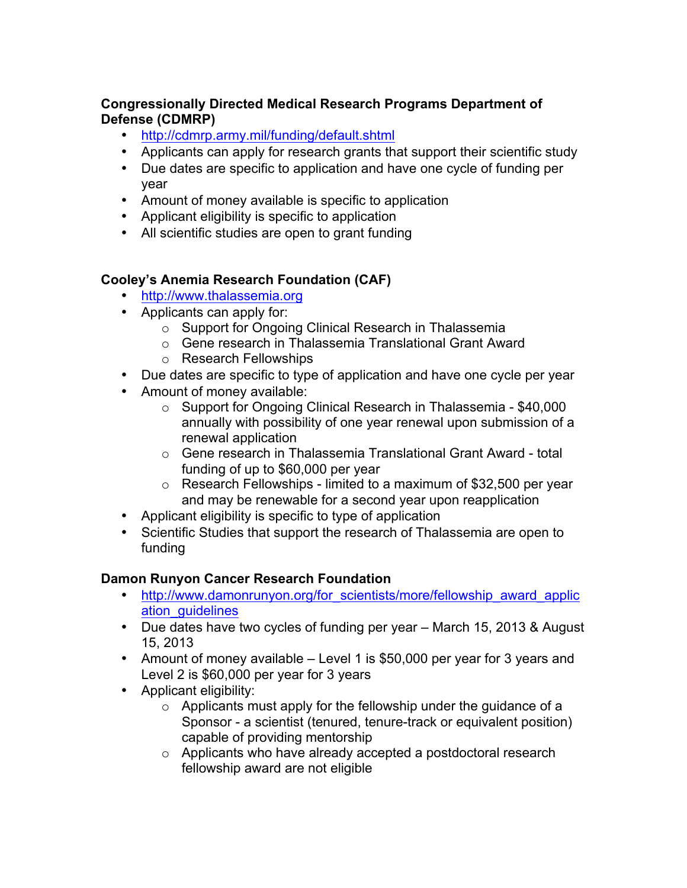## **Congressionally Directed Medical Research Programs Department of Defense (CDMRP)**

- <http://cdmrp.army.mil/funding/default.shtml>
- Applicants can apply for research grants that support their scientific study
- Due dates are specific to application and have one cycle of funding per year
- Amount of money available is specific to application
- Applicant eligibility is specific to application
- All scientific studies are open to grant funding

#### **Cooley's Anemia Research Foundation (CAF)**

- <http://www.thalassemia.org>
- Applicants can apply for:
	- o Support for Ongoing Clinical Research in Thalassemia
	- o Gene research in Thalassemia Translational Grant Award
	- o Research Fellowships
- Due dates are specific to type of application and have one cycle per year
- Amount of money available:
	- o Support for Ongoing Clinical Research in Thalassemia \$40,000 annually with possibility of one year renewal upon submission of a renewal application
	- o Gene research in Thalassemia Translational Grant Award total funding of up to \$60,000 per year
	- o Research Fellowships limited to a maximum of \$32,500 per year and may be renewable for a second year upon reapplication
- Applicant eligibility is specific to type of application
- Scientific Studies that support the research of Thalassemia are open to funding

#### **Damon Runyon Cancer Research Foundation**

- http://www.damonrunyon.org/for scientists/more/fellowship award applic ation\_guidelines
- Due dates have two cycles of funding per year March 15, 2013 & August 15, 2013
- Amount of money available Level 1 is \$50,000 per year for 3 years and Level 2 is \$60,000 per year for 3 years
- Applicant eligibility:
	- $\circ$  Applicants must apply for the fellowship under the quidance of a Sponsor - a scientist (tenured, tenure-track or equivalent position) capable of providing mentorship
	- o Applicants who have already accepted a postdoctoral research fellowship award are not eligible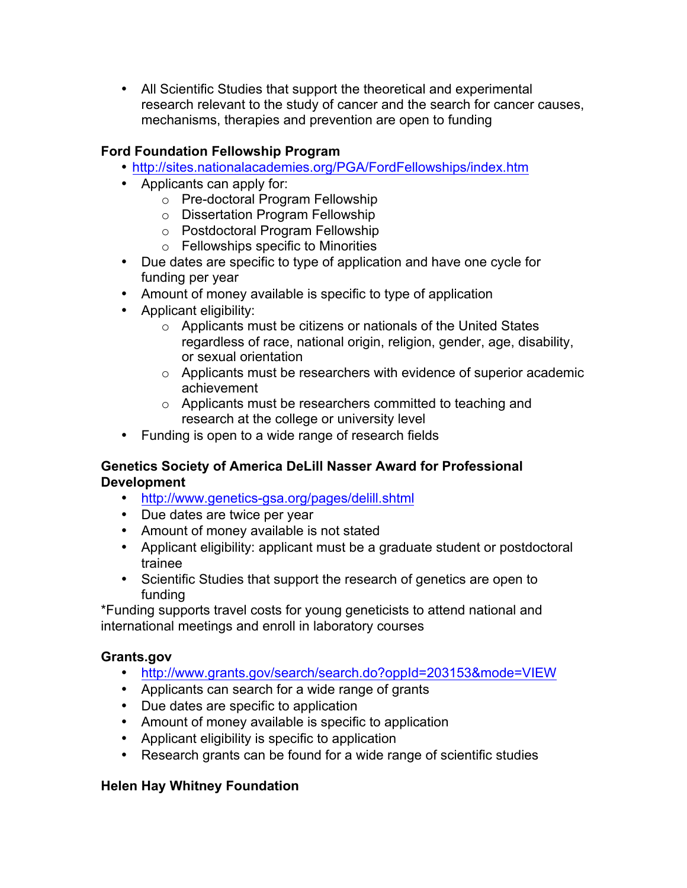All Scientific Studies that support the theoretical and experimental research relevant to the study of cancer and the search for cancer causes, mechanisms, therapies and prevention are open to funding

## **Ford Foundation Fellowship Program**

- <http://sites.nationalacademies.org/PGA/FordFellowships/index.htm>
- Applicants can apply for:
	- o Pre-doctoral Program Fellowship
	- o Dissertation Program Fellowship
	- o Postdoctoral Program Fellowship
	- o Fellowships specific to Minorities
- Due dates are specific to type of application and have one cycle for funding per year
- Amount of money available is specific to type of application
- Applicant eligibility:
	- $\circ$  Applicants must be citizens or nationals of the United States regardless of race, national origin, religion, gender, age, disability, or sexual orientation
	- $\circ$  Applicants must be researchers with evidence of superior academic achievement
	- o Applicants must be researchers committed to teaching and research at the college or university level
- Funding is open to a wide range of research fields

### **Genetics Society of America DeLill Nasser Award for Professional Development**

- <http://www.genetics-gsa.org/pages/delill.shtml>
- Due dates are twice per year
- Amount of money available is not stated
- Applicant eligibility: applicant must be a graduate student or postdoctoral trainee
- Scientific Studies that support the research of genetics are open to funding

\*Funding supports travel costs for young geneticists to attend national and international meetings and enroll in laboratory courses

### **Grants.gov**

- <http://www.grants.gov/search/search.do?oppId=203153&mode=VIEW>
- Applicants can search for a wide range of grants
- Due dates are specific to application
- Amount of money available is specific to application
- Applicant eligibility is specific to application
- Research grants can be found for a wide range of scientific studies

### **Helen Hay Whitney Foundation**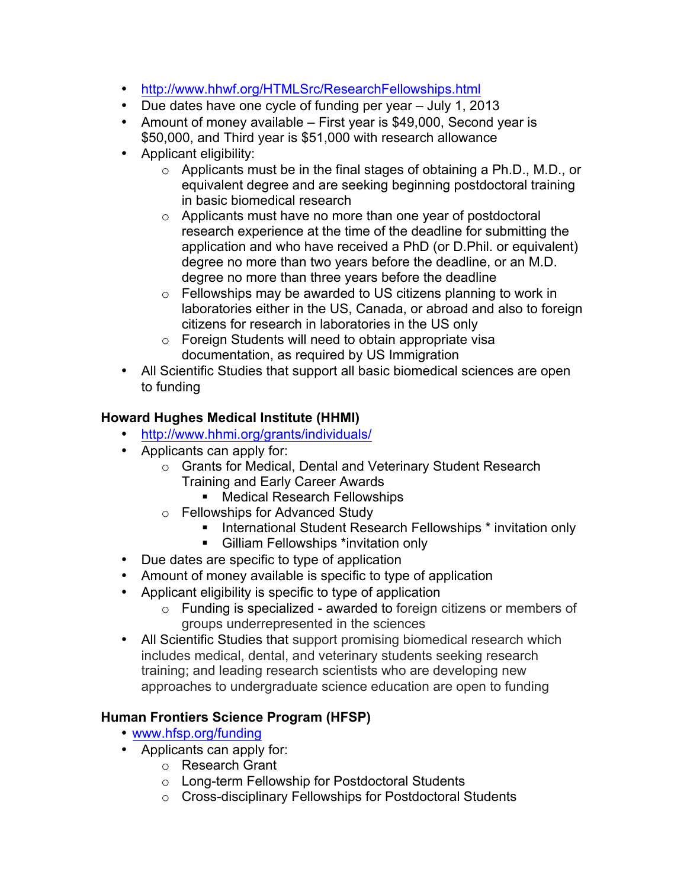- <http://www.hhwf.org/HTMLSrc/ResearchFellowships.html>
- Due dates have one cycle of funding per year July 1, 2013
- Amount of money available First year is \$49,000, Second year is \$50,000, and Third year is \$51,000 with research allowance
- Applicant eligibility:
	- o Applicants must be in the final stages of obtaining a Ph.D., M.D., or equivalent degree and are seeking beginning postdoctoral training in basic biomedical research
	- o Applicants must have no more than one year of postdoctoral research experience at the time of the deadline for submitting the application and who have received a PhD (or D.Phil. or equivalent) degree no more than two years before the deadline, or an M.D. degree no more than three years before the deadline
	- o Fellowships may be awarded to US citizens planning to work in laboratories either in the US, Canada, or abroad and also to foreign citizens for research in laboratories in the US only
	- $\circ$  Foreign Students will need to obtain appropriate visa documentation, as required by US Immigration
- All Scientific Studies that support all basic biomedical sciences are open to funding

# **Howard Hughes Medical Institute (HHMI)**

- <http://www.hhmi.org/grants/individuals/>
- Applicants can apply for:
	- o Grants for Medical, Dental and Veterinary Student Research Training and Early Career Awards
		- Medical Research Fellowships
	- o Fellowships for Advanced Study
		- International Student Research Fellowships \* invitation only
		- Gilliam Fellowships \*invitation only
- Due dates are specific to type of application
- Amount of money available is specific to type of application
- Applicant eligibility is specific to type of application
	- o Funding is specialized awarded to foreign citizens or members of groups underrepresented in the sciences
- All Scientific Studies that support promising biomedical research which includes medical, dental, and veterinary students seeking research training; and leading research scientists who are developing new approaches to undergraduate science education are open to funding

# **Human Frontiers Science Program (HFSP)**

- [www.hfsp.org/funding](http://www.hfsp.org/funding)
- Applicants can apply for:
	- o Research Grant
	- o Long-term Fellowship for Postdoctoral Students
	- o Cross-disciplinary Fellowships for Postdoctoral Students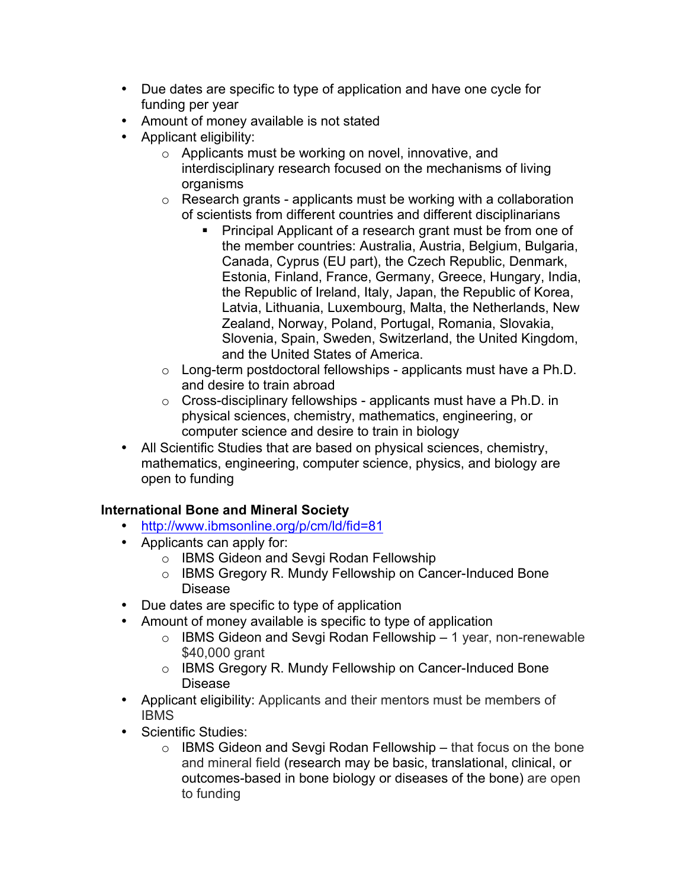- Due dates are specific to type of application and have one cycle for funding per year
- Amount of money available is not stated
- Applicant eligibility:
	- o Applicants must be working on novel, innovative, and interdisciplinary research focused on the mechanisms of living organisms
	- $\circ$  Research grants applicants must be working with a collaboration of scientists from different countries and different disciplinarians
		- Principal Applicant of a research grant must be from one of the member countries: Australia, Austria, Belgium, Bulgaria, Canada, Cyprus (EU part), the Czech Republic, Denmark, Estonia, Finland, France, Germany, Greece, Hungary, India, the Republic of Ireland, Italy, Japan, the Republic of Korea, Latvia, Lithuania, Luxembourg, Malta, the Netherlands, New Zealand, Norway, Poland, Portugal, Romania, Slovakia, Slovenia, Spain, Sweden, Switzerland, the United Kingdom, and the United States of America.
	- $\circ$  Long-term postdoctoral fellowships applicants must have a Ph.D. and desire to train abroad
	- o Cross-disciplinary fellowships applicants must have a Ph.D. in physical sciences, chemistry, mathematics, engineering, or computer science and desire to train in biology
- All Scientific Studies that are based on physical sciences, chemistry, mathematics, engineering, computer science, physics, and biology are open to funding

# **International Bone and Mineral Society**

- <http://www.ibmsonline.org/p/cm/ld/fid=81>
- Applicants can apply for:
	- o IBMS Gideon and Sevgi Rodan Fellowship
	- o IBMS Gregory R. Mundy Fellowship on Cancer-Induced Bone Disease
- Due dates are specific to type of application
- Amount of money available is specific to type of application
	- o IBMS Gideon and Sevgi Rodan Fellowship 1 year, non-renewable \$40,000 grant
	- o IBMS Gregory R. Mundy Fellowship on Cancer-Induced Bone Disease
- Applicant eligibility: Applicants and their mentors must be members of IBMS
- Scientific Studies:
	- $\circ$  IBMS Gideon and Sevgi Rodan Fellowship that focus on the bone and mineral field (research may be basic, translational, clinical, or outcomes-based in bone biology or diseases of the bone) are open to funding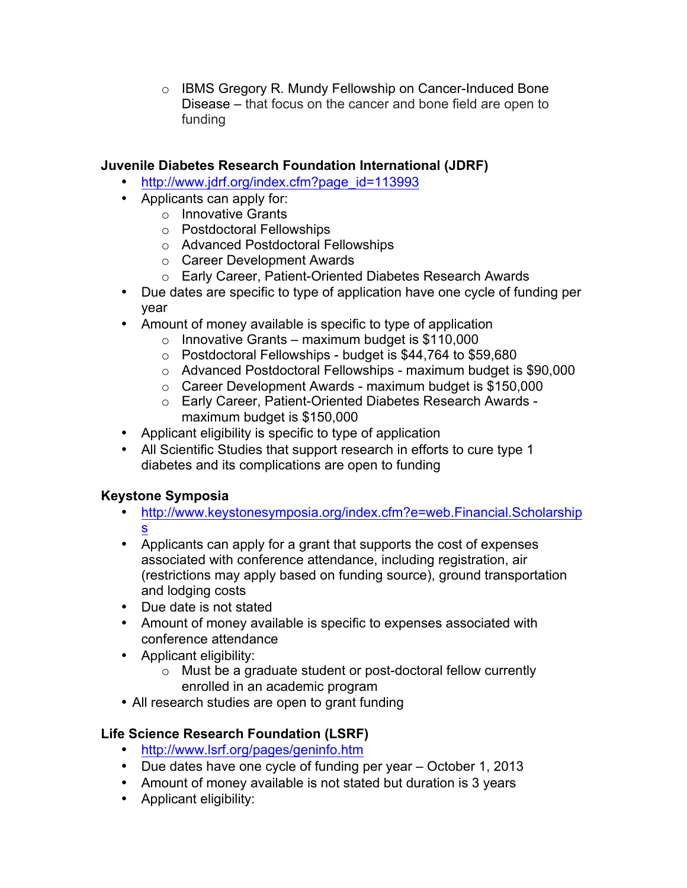o IBMS Gregory R. Mundy Fellowship on Cancer-Induced Bone Disease – that focus on the cancer and bone field are open to funding

### **Juvenile Diabetes Research Foundation International (JDRF)**

- [http://www.jdrf.org/index.cfm?page\\_id=113993](http://www.jdrf.org/index.cfm?page_id=113993)
- Applicants can apply for:
	- o Innovative Grants
		- o Postdoctoral Fellowships
		- o Advanced Postdoctoral Fellowships
		- o Career Development Awards
		- o Early Career, Patient-Oriented Diabetes Research Awards
- Due dates are specific to type of application have one cycle of funding per year
- Amount of money available is specific to type of application
	- $\circ$  Innovative Grants maximum budget is \$110,000
	- o Postdoctoral Fellowships budget is \$44,764 to \$59,680
	- o Advanced Postdoctoral Fellowships maximum budget is \$90,000
	- o Career Development Awards maximum budget is \$150,000
	- o Early Career, Patient-Oriented Diabetes Research Awards maximum budget is \$150,000
- Applicant eligibility is specific to type of application
- All Scientific Studies that support research in efforts to cure type 1 diabetes and its complications are open to funding

# **Keystone Symposia**

- <http://www.keystonesymposia.org/index.cfm?e=web.Financial.Scholarship> s
- Applicants can apply for a grant that supports the cost of expenses associated with conference attendance, including registration, air (restrictions may apply based on funding source), ground transportation and lodging costs
- Due date is not stated
- Amount of money available is specific to expenses associated with conference attendance
- Applicant eligibility:
	- o Must be a graduate student or post-doctoral fellow currently enrolled in an academic program
- All research studies are open to grant funding

# **Life Science Research Foundation (LSRF)**

- <http://www.lsrf.org/pages/geninfo.htm>
- Due dates have one cycle of funding per year October 1, 2013
- Amount of money available is not stated but duration is 3 years
- Applicant eligibility: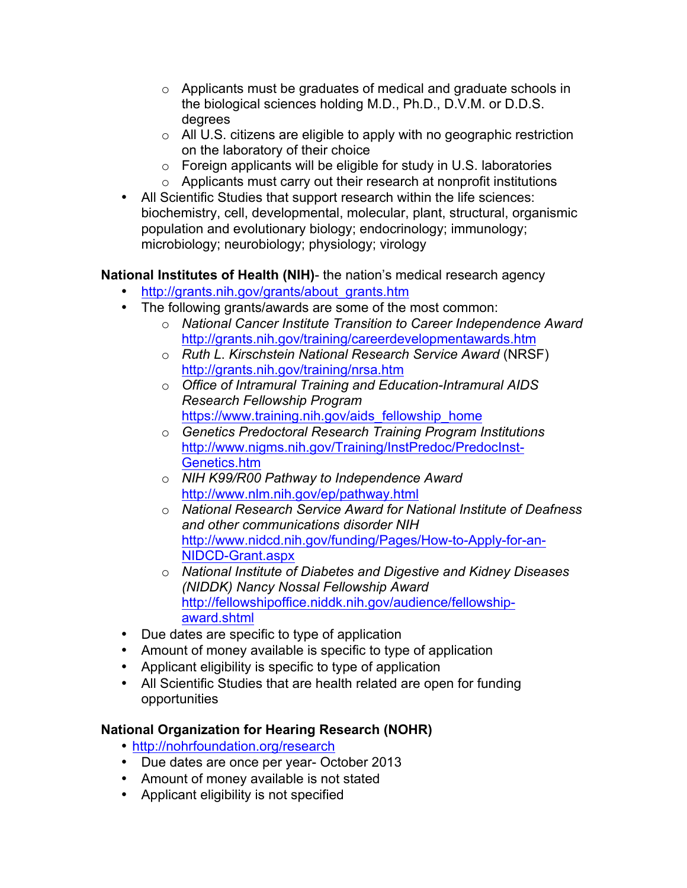- o Applicants must be graduates of medical and graduate schools in the biological sciences holding M.D., Ph.D., D.V.M. or D.D.S. degrees
- o All U.S. citizens are eligible to apply with no geographic restriction on the laboratory of their choice
- o Foreign applicants will be eligible for study in U.S. laboratories
- o Applicants must carry out their research at nonprofit institutions
- All Scientific Studies that support research within the life sciences: biochemistry, cell, developmental, molecular, plant, structural, organismic population and evolutionary biology; endocrinology; immunology; microbiology; neurobiology; physiology; virology

**National Institutes of Health (NIH)**- the nation's medical research agency

- [http://grants.nih.gov/grants/about\\_grants.htm](http://grants.nih.gov/grants/about_grants.htm)
- The following grants/awards are some of the most common:
	- o *National Cancer Institute Transition to Career Independence Award* <http://grants.nih.gov/training/careerdevelopmentawards.htm>
	- o *Ruth L*. *Kirschstein National Research Service Award* (NRSF) <http://grants.nih.gov/training/nrsa.htm>
	- o *Office of Intramural Training and Education-Intramural AIDS Research Fellowship Program* [https://www.training.nih.gov/aids\\_fellowship\\_home](https://www.training.nih.gov/aids_fellowship_home)
	- o *Genetics Predoctoral Research Training Program Institutions* [http://www.nigms.nih.gov/Training/InstPredoc/PredocInst-](http://www.nigms.nih.gov/Training/InstPredoc/PredocInst-Genetics.htm)[Genetics.htm](http://www.nigms.nih.gov/Training/InstPredoc/PredocInst-Genetics.htm)
	- o *NIH K99/R00 Pathway to Independence Award* <http://www.nlm.nih.gov/ep/pathway.html>
	- o *National Research Service Award for National Institute of Deafness and other communications disorder NIH* [http://www.nidcd.nih.gov/funding/Pages/How-to-Apply-for-an-](http://www.nidcd.nih.gov/funding/Pages/How-to-Apply-for-an-NIDCD-Grant.aspx)[NIDCD-Grant.aspx](http://www.nidcd.nih.gov/funding/Pages/How-to-Apply-for-an-NIDCD-Grant.aspx)
	- o *National Institute of Diabetes and Digestive and Kidney Diseases (NIDDK) Nancy Nossal Fellowship Award* [http://fellowshipoffice.niddk.nih.gov/audience/fellowship](http://fellowshipoffice.niddk.nih.gov/audience/fellowship-award.shtml)award.[shtml](http://fellowshipoffice.niddk.nih.gov/audience/fellowship-award.shtml)
- Due dates are specific to type of application
- Amount of money available is specific to type of application
- Applicant eligibility is specific to type of application
- All Scientific Studies that are health related are open for funding opportunities

# **National Organization for Hearing Research (NOHR)**

- <http://nohrfoundation.org/research>
- Due dates are once per year- October 2013
- Amount of money available is not stated
- Applicant eligibility is not specified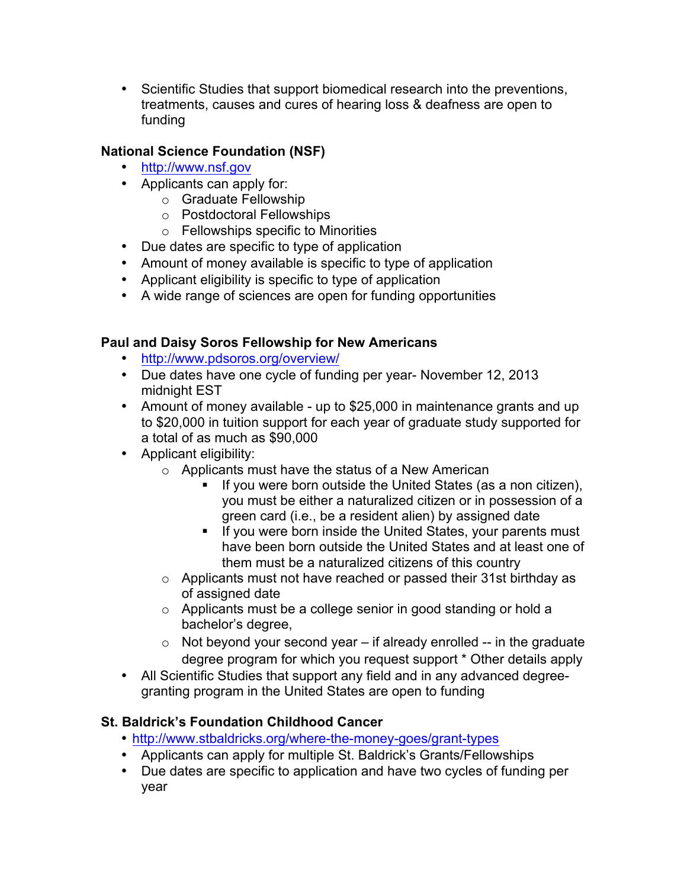• Scientific Studies that support biomedical research into the preventions, treatments, causes and cures of hearing loss & deafness are open to funding

## **National Science Foundation (NSF)**

- <http://www.nsf.gov>
- Applicants can apply for:
	- o Graduate Fellowship
	- o Postdoctoral Fellowships
	- o Fellowships specific to Minorities
- Due dates are specific to type of application
- Amount of money available is specific to type of application
- Applicant eligibility is specific to type of application
- A wide range of sciences are open for funding opportunities

## **Paul and Daisy Soros Fellowship for New Americans**

- <http://www.pdsoros.org/overview/>
- Due dates have one cycle of funding per year- November 12, 2013 midnight EST
- Amount of money available up to \$25,000 in maintenance grants and up to \$20,000 in tuition support for each year of graduate study supported for a total of as much as \$90,000
- Applicant eligibility:
	- $\circ$  Applicants must have the status of a New American
		- If you were born outside the United States (as a non citizen), you must be either a naturalized citizen or in possession of a green card (i.e., be a resident alien) by assigned date
		- If you were born inside the United States, your parents must have been born outside the United States and at least one of them must be a naturalized citizens of this country
	- o Applicants must not have reached or passed their 31st birthday as of assigned date
	- $\circ$  Applicants must be a college senior in good standing or hold a bachelor's degree,
	- $\circ$  Not beyond your second year if already enrolled -- in the graduate degree program for which you request support \* Other details apply
- All Scientific Studies that support any field and in any advanced degreegranting program in the United States are open to funding

### **St. Baldrick's Foundation Childhood Cancer**

- <http://www.stbaldricks.org/where-the-money-goes/grant-types>
- Applicants can apply for multiple St. Baldrick's Grants/Fellowships
- Due dates are specific to application and have two cycles of funding per year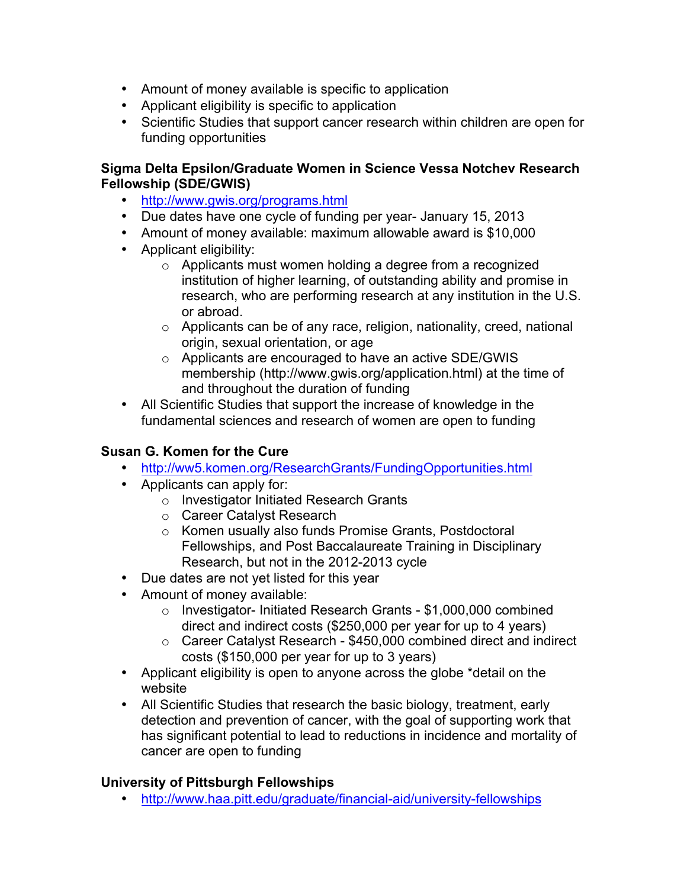- Amount of money available is specific to application
- Applicant eligibility is specific to application
- Scientific Studies that support cancer research within children are open for funding opportunities

#### **Sigma Delta Epsilon/Graduate Women in Science Vessa Notchev Research Fellowship (SDE/GWIS)**

- <http://www.gwis.org/programs.html>
- Due dates have one cycle of funding per year- January 15, 2013
- Amount of money available: maximum allowable award is \$10,000
- Applicant eligibility:
	- o Applicants must women holding a degree from a recognized institution of higher learning, of outstanding ability and promise in research, who are performing research at any institution in the U.S. or abroad.
	- o Applicants can be of any race, religion, nationality, creed, national origin, sexual orientation, or age
	- o Applicants are encouraged to have an active SDE/GWIS membership [\(http://www.gwis.org/application.html\) at](http://www.gwis.org/application.html) the time of and throughout the duration of funding
- All Scientific Studies that support the increase of knowledge in the fundamental sciences and research of women are open to funding

### **Susan G. Komen for the Cure**

- <http://ww5.komen.org/ResearchGrants/FundingOpportunities.html>
- Applicants can apply for:
	- o Investigator Initiated Research Grants
	- o Career Catalyst Research
	- o Komen usually also funds Promise Grants, Postdoctoral Fellowships, and Post Baccalaureate Training in Disciplinary Research, but not in the 2012-2013 cycle
- Due dates are not yet listed for this year
- Amount of money available:
	- o Investigator- Initiated Research Grants \$1,000,000 combined direct and indirect costs (\$250,000 per year for up to 4 years)
	- o Career Catalyst Research \$450,000 combined direct and indirect costs (\$150,000 per year for up to 3 years)
- Applicant eligibility is open to anyone across the globe \*detail on the website
- All Scientific Studies that research the basic biology, treatment, early detection and prevention of cancer, with the goal of supporting work that has significant potential to lead to reductions in incidence and mortality of cancer are open to funding

### **University of Pittsburgh Fellowships**

<http://www.haa.pitt.edu/graduate/financial-aid/university-fellowships>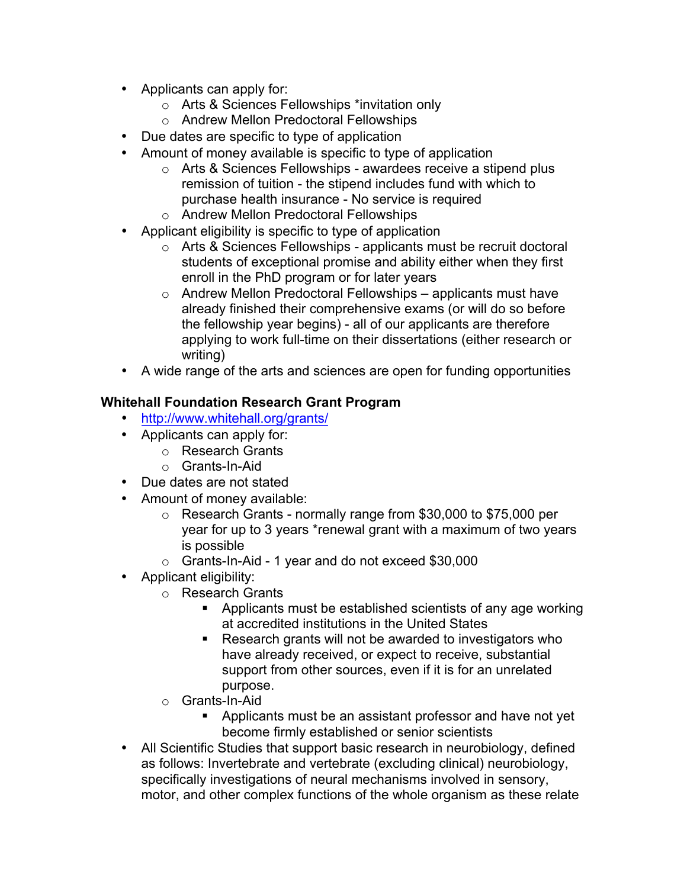- Applicants can apply for:
	- o Arts & Sciences Fellowships \*invitation only
	- o Andrew Mellon Predoctoral Fellowships
- Due dates are specific to type of application
- Amount of money available is specific to type of application
	- o Arts & Sciences Fellowships awardees receive a stipend plus remission of tuition - the stipend includes fund with which to purchase health insurance - No service is required
	- o Andrew Mellon Predoctoral Fellowships
- Applicant eligibility is specific to type of application
	- o Arts & Sciences Fellowships applicants must be recruit doctoral students of exceptional promise and ability either when they first enroll in the PhD program or for later years
	- o Andrew Mellon Predoctoral Fellowships applicants must have already finished their comprehensive exams (or will do so before the fellowship year begins) - all of our applicants are therefore applying to work full-time on their dissertations (either research or writing)
- A wide range of the arts and sciences are open for funding opportunities

### **Whitehall Foundation Research Grant Program**

- <http://www.whitehall.org/grants/>
- Applicants can apply for:
	- o Research Grants
	- o Grants-In-Aid
- Due dates are not stated
- Amount of money available:
	- o Research Grants normally range from \$30,000 to \$75,000 per year for up to 3 years \*renewal grant with a maximum of two years is possible
	- o Grants-In-Aid 1 year and do not exceed \$30,000
- Applicant eligibility:
	- o Research Grants
		- § Applicants must be established scientists of any age working at accredited institutions in the United States
		- Research grants will not be awarded to investigators who have already received, or expect to receive, substantial support from other sources, even if it is for an unrelated purpose.
	- o Grants-In-Aid
		- § Applicants must be an assistant professor and have not yet become firmly established or senior scientists
- All Scientific Studies that support basic research in neurobiology, defined as follows: Invertebrate and vertebrate (excluding clinical) neurobiology, specifically investigations of neural mechanisms involved in sensory, motor, and other complex functions of the whole organism as these relate